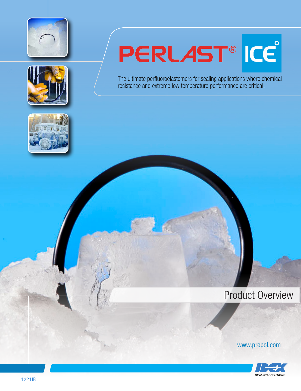



# PERLAST®ICE

The ultimate perfluoroelastomers for sealing applications where chemical resistance and extreme low temperature performance are critical.



## Product Overview



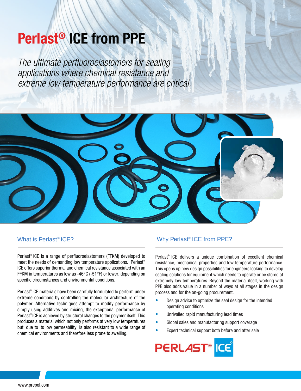# Perlast® ICE from PPE

The ultimate perfluoroelastomers for sealing applications where chemical resistance and extreme low temperature performance are critical.



#### What is Perlast® ICE?

Perlast® ICE is a range of perfluoroelastomers (FFKM) developed to meet the needs of demanding low temperature applications. Perlast® ICE offers superior thermal and chemical resistance associated with an FFKM in temperatures as low as -46°C (-51°F) or lower, depending on specific circumstances and environmental conditions.

Perlast® ICE materials have been carefully formulated to perform under extreme conditions by controlling the molecular architecture of the polymer. Alternative techniques attempt to modify performance by simply using additives and mixing, the exceptional performance of Perlast® ICE is achieved by structural changes to the polymer itself. This produces a material which not only performs at very low temperatures but, due to its low permeability, is also resistant to a wide range of chemical environments and therefore less prone to swelling.

#### Why Perlast® ICE from PPE?

Perlast® ICE delivers a unique combination of excellent chemical resistance, mechanical properties and low temperature performance. This opens up new design possibilities for engineers looking to develop sealing solutions for equipment which needs to operate or be stored at extremely low temperatures. Beyond the material itself, working with PPE also adds value in a number of ways at all stages in the design process and for the on-going procurement.

- Design advice to optimize the seal design for the intended operating conditions •
- Unrivalled rapid manufacturing lead times •
- Global sales and manufacturing support coverage •
- Expert technical support both before and after sale •

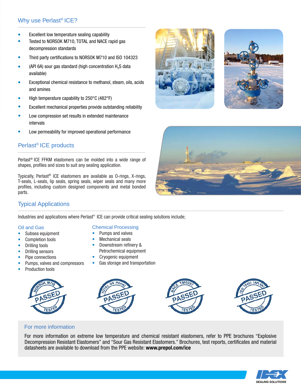#### Why use Perlast® ICE?

- Excellent low temperature sealing capability •
- Tested to NORSOK M710, TOTAL and NACE rapid gas decompression standards •
- Third party certifications to NORSOK M710 and ISO 104323 •
- (API 6A) sour gas standard (high concentration  $H_2S$  data available) •
- Exceptional chemical resistance to methanol, steam, oils, acids and amines •
- High temperature capability to 250°C (482°F) •
- Excellent mechanical properties provide outstanding reliability •
- Low compression set results in extended maintenance intervals •
- Low permeability for improved operational performance •

#### Perlast® ICE products

Perlast® ICE FFKM elastomers can be molded into a wide range of shapes, profiles and sizes to suit any sealing application.

Typically, Perlast® ICE elastomers are available as O-rings, X-rings, T-seals, L-seals, lip seals, spring seals, wiper seals and many more profiles, including custom designed components and metal bonded parts.







#### Typical Applications

Industries and applications where Perlast<sup>®</sup> ICE can provide critical sealing solutions include;

#### Oil and Gas

- Subsea equipment
- Completion tools
- Drilling tools
- Drilling sensors
- Pipe connections
- Pumps, valves and compressors
- Production tools



#### Chemical Processing

- Pumps and valves
- Mechanical seals
- Downstream refinery & Petrochemical equipment
- Cryogenic equipment
- Gas storage and transportation



#### For more information

For more information on extreme low temperature and chemical resistant elastomers, refer to PPE brochures "Explosive Decompression Resistant Elastomers" and "Sour Gas Resistant Elastomers." Brochures, test reports, certificates and material datasheets are available to download from the PPE website: www.prepol.com/ice